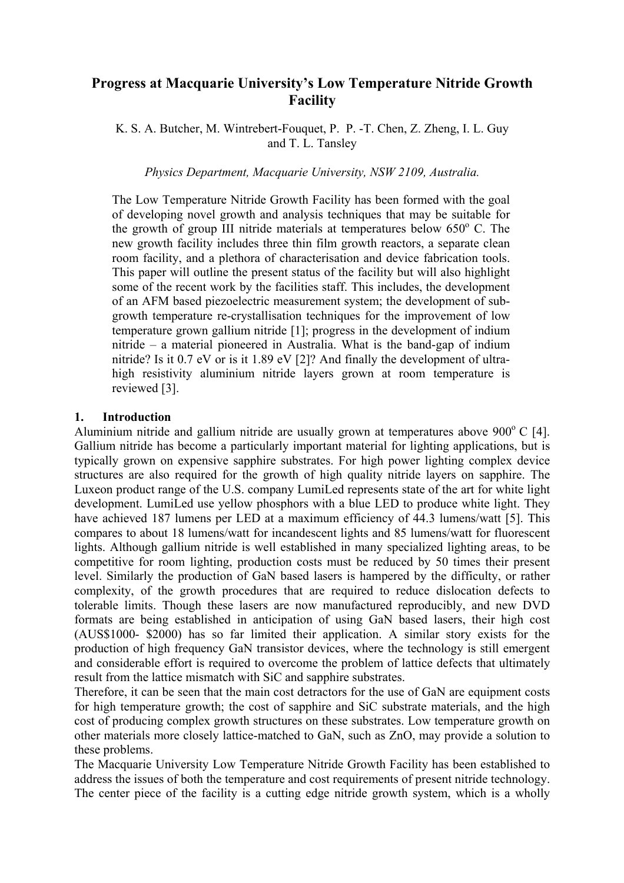# **Progress at Macquarie University's Low Temperature Nitride Growth Facility**

K. S. A. Butcher, M. Wintrebert-Fouquet, P. P. -T. Chen, Z. Zheng, I. L. Guy and T. L. Tansley

*Physics Department, Macquarie University, NSW 2109, Australia.* 

The Low Temperature Nitride Growth Facility has been formed with the goal of developing novel growth and analysis techniques that may be suitable for the growth of group III nitride materials at temperatures below  $650^{\circ}$  C. The new growth facility includes three thin film growth reactors, a separate clean room facility, and a plethora of characterisation and device fabrication tools. This paper will outline the present status of the facility but will also highlight some of the recent work by the facilities staff. This includes, the development of an AFM based piezoelectric measurement system; the development of subgrowth temperature re-crystallisation techniques for the improvement of low temperature grown gallium nitride [1]; progress in the development of indium nitride – a material pioneered in Australia. What is the band-gap of indium nitride? Is it 0.7 eV or is it 1.89 eV [2]? And finally the development of ultrahigh resistivity aluminium nitride layers grown at room temperature is reviewed [3].

## **1. Introduction**

Aluminium nitride and gallium nitride are usually grown at temperatures above  $900^{\circ}$  C [4]. Gallium nitride has become a particularly important material for lighting applications, but is typically grown on expensive sapphire substrates. For high power lighting complex device structures are also required for the growth of high quality nitride layers on sapphire. The Luxeon product range of the U.S. company LumiLed represents state of the art for white light development. LumiLed use yellow phosphors with a blue LED to produce white light. They have achieved 187 lumens per LED at a maximum efficiency of 44.3 lumens/watt [5]. This compares to about 18 lumens/watt for incandescent lights and 85 lumens/watt for fluorescent lights. Although gallium nitride is well established in many specialized lighting areas, to be competitive for room lighting, production costs must be reduced by 50 times their present level. Similarly the production of GaN based lasers is hampered by the difficulty, or rather complexity, of the growth procedures that are required to reduce dislocation defects to tolerable limits. Though these lasers are now manufactured reproducibly, and new DVD formats are being established in anticipation of using GaN based lasers, their high cost (AUS\$1000- \$2000) has so far limited their application. A similar story exists for the production of high frequency GaN transistor devices, where the technology is still emergent and considerable effort is required to overcome the problem of lattice defects that ultimately result from the lattice mismatch with SiC and sapphire substrates.

Therefore, it can be seen that the main cost detractors for the use of GaN are equipment costs for high temperature growth; the cost of sapphire and SiC substrate materials, and the high cost of producing complex growth structures on these substrates. Low temperature growth on other materials more closely lattice-matched to GaN, such as ZnO, may provide a solution to these problems.

The Macquarie University Low Temperature Nitride Growth Facility has been established to address the issues of both the temperature and cost requirements of present nitride technology. The center piece of the facility is a cutting edge nitride growth system, which is a wholly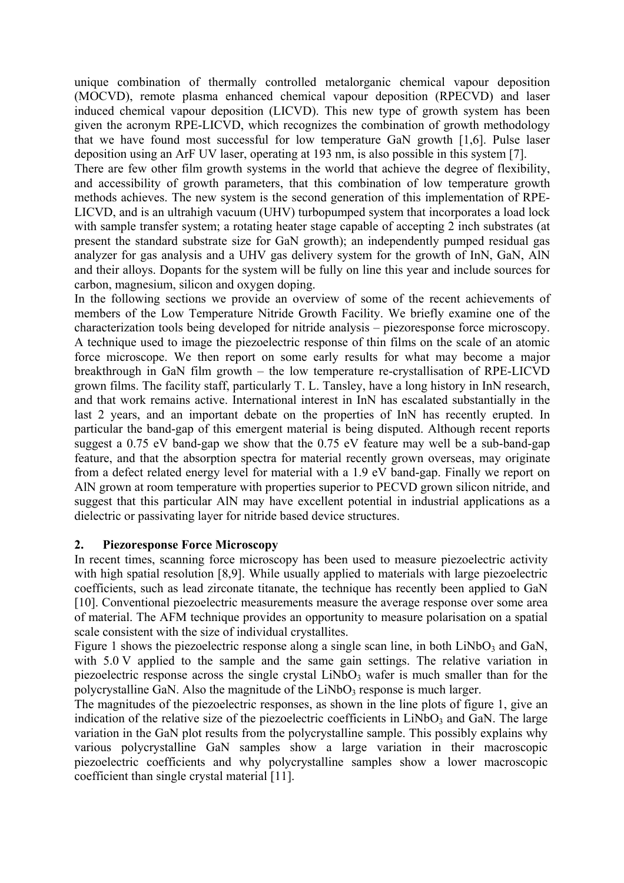unique combination of thermally controlled metalorganic chemical vapour deposition (MOCVD), remote plasma enhanced chemical vapour deposition (RPECVD) and laser induced chemical vapour deposition (LICVD). This new type of growth system has been given the acronym RPE-LICVD, which recognizes the combination of growth methodology that we have found most successful for low temperature GaN growth [1,6]. Pulse laser deposition using an ArF UV laser, operating at 193 nm, is also possible in this system [7].

There are few other film growth systems in the world that achieve the degree of flexibility, and accessibility of growth parameters, that this combination of low temperature growth methods achieves. The new system is the second generation of this implementation of RPE-LICVD, and is an ultrahigh vacuum (UHV) turbopumped system that incorporates a load lock with sample transfer system; a rotating heater stage capable of accepting 2 inch substrates (at present the standard substrate size for GaN growth); an independently pumped residual gas analyzer for gas analysis and a UHV gas delivery system for the growth of InN, GaN, AlN and their alloys. Dopants for the system will be fully on line this year and include sources for carbon, magnesium, silicon and oxygen doping.

In the following sections we provide an overview of some of the recent achievements of members of the Low Temperature Nitride Growth Facility. We briefly examine one of the characterization tools being developed for nitride analysis – piezoresponse force microscopy. A technique used to image the piezoelectric response of thin films on the scale of an atomic force microscope. We then report on some early results for what may become a major breakthrough in GaN film growth – the low temperature re-crystallisation of RPE-LICVD grown films. The facility staff, particularly T. L. Tansley, have a long history in InN research, and that work remains active. International interest in InN has escalated substantially in the last 2 years, and an important debate on the properties of InN has recently erupted. In particular the band-gap of this emergent material is being disputed. Although recent reports suggest a 0.75 eV band-gap we show that the 0.75 eV feature may well be a sub-band-gap feature, and that the absorption spectra for material recently grown overseas, may originate from a defect related energy level for material with a 1.9 eV band-gap. Finally we report on AlN grown at room temperature with properties superior to PECVD grown silicon nitride, and suggest that this particular AlN may have excellent potential in industrial applications as a dielectric or passivating layer for nitride based device structures.

### **2. Piezoresponse Force Microscopy**

In recent times, scanning force microscopy has been used to measure piezoelectric activity with high spatial resolution [8,9]. While usually applied to materials with large piezoelectric coefficients, such as lead zirconate titanate, the technique has recently been applied to GaN [10]. Conventional piezoelectric measurements measure the average response over some area of material. The AFM technique provides an opportunity to measure polarisation on a spatial scale consistent with the size of individual crystallites.

Figure 1 shows the piezoelectric response along a single scan line, in both  $LiNbO<sub>3</sub>$  and GaN, with 5.0 V applied to the sample and the same gain settings. The relative variation in piezoelectric response across the single crystal  $LiNbO<sub>3</sub>$  wafer is much smaller than for the polycrystalline GaN. Also the magnitude of the  $LiNbO<sub>3</sub>$  response is much larger.

The magnitudes of the piezoelectric responses, as shown in the line plots of figure 1, give an indication of the relative size of the piezoelectric coefficients in  $LiNbO<sub>3</sub>$  and GaN. The large variation in the GaN plot results from the polycrystalline sample. This possibly explains why various polycrystalline GaN samples show a large variation in their macroscopic piezoelectric coefficients and why polycrystalline samples show a lower macroscopic coefficient than single crystal material [11].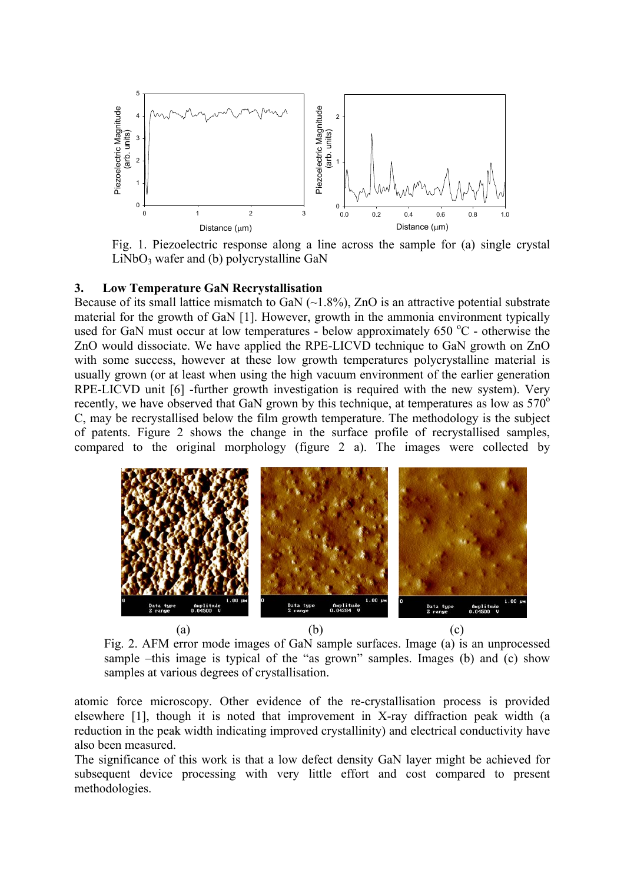

Fig. 1. Piezoelectric response along a line across the sample for (a) single crystal  $LiNbO<sub>3</sub>$  wafer and (b) polycrystalline GaN

#### **3. Low Temperature GaN Recrystallisation**

Because of its small lattice mismatch to GaN  $(\sim1.8\%)$ , ZnO is an attractive potential substrate material for the growth of GaN [1]. However, growth in the ammonia environment typically used for GaN must occur at low temperatures - below approximately 650 °C - otherwise the ZnO would dissociate. We have applied the RPE-LICVD technique to GaN growth on ZnO with some success, however at these low growth temperatures polycrystalline material is usually grown (or at least when using the high vacuum environment of the earlier generation RPE-LICVD unit [6] -further growth investigation is required with the new system). Very recently, we have observed that GaN grown by this technique, at temperatures as low as  $570^{\circ}$ C, may be recrystallised below the film growth temperature. The methodology is the subject of patents. Figure 2 shows the change in the surface profile of recrystallised samples, compared to the original morphology (figure 2 a). The images were collected by



Fig. 2. AFM error mode images of GaN sample surfaces. Image (a) is an unprocessed sample –this image is typical of the "as grown" samples. Images (b) and (c) show samples at various degrees of crystallisation.

atomic force microscopy. Other evidence of the re-crystallisation process is provided elsewhere [1], though it is noted that improvement in X-ray diffraction peak width (a reduction in the peak width indicating improved crystallinity) and electrical conductivity have also been measured.

The significance of this work is that a low defect density GaN layer might be achieved for subsequent device processing with very little effort and cost compared to present methodologies.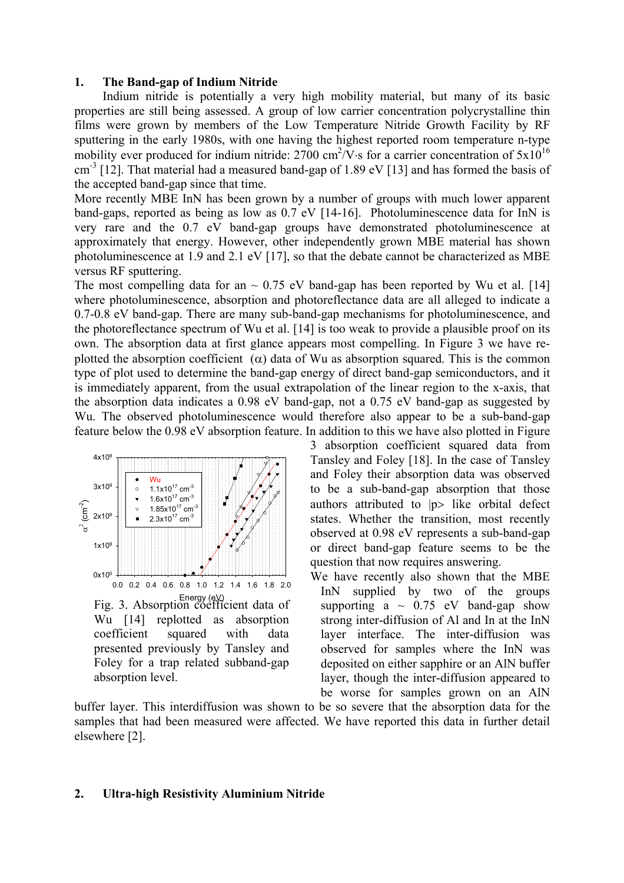### **1. The Band-gap of Indium Nitride**

Indium nitride is potentially a very high mobility material, but many of its basic properties are still being assessed. A group of low carrier concentration polycrystalline thin films were grown by members of the Low Temperature Nitride Growth Facility by RF sputtering in the early 1980s, with one having the highest reported room temperature n-type mobility ever produced for indium nitride: 2700 cm<sup>2</sup>/V⋅s for a carrier concentration of  $5x10^{16}$ cm<sup>-3</sup> [12]. That material had a measured band-gap of 1.89 eV [13] and has formed the basis of the accepted band-gap since that time.

More recently MBE InN has been grown by a number of groups with much lower apparent band-gaps, reported as being as low as 0.7 eV [14-16]. Photoluminescence data for InN is very rare and the 0.7 eV band-gap groups have demonstrated photoluminescence at approximately that energy. However, other independently grown MBE material has shown photoluminescence at 1.9 and 2.1 eV [17], so that the debate cannot be characterized as MBE versus RF sputtering.

The most compelling data for an  $\sim 0.75$  eV band-gap has been reported by Wu et al. [14] where photoluminescence, absorption and photoreflectance data are all alleged to indicate a 0.7-0.8 eV band-gap. There are many sub-band-gap mechanisms for photoluminescence, and the photoreflectance spectrum of Wu et al. [14] is too weak to provide a plausible proof on its own. The absorption data at first glance appears most compelling. In Figure 3 we have replotted the absorption coefficient ( $\alpha$ ) data of Wu as absorption squared. This is the common type of plot used to determine the band-gap energy of direct band-gap semiconductors, and it is immediately apparent, from the usual extrapolation of the linear region to the x-axis, that the absorption data indicates a 0.98 eV band-gap, not a 0.75 eV band-gap as suggested by Wu. The observed photoluminescence would therefore also appear to be a sub-band-gap feature below the 0.98 eV absorption feature. In addition to this we have also plotted in Figure



3 absorption coefficient squared data from Tansley and Foley [18]. In the case of Tansley and Foley their absorption data was observed to be a sub-band-gap absorption that those authors attributed to |p> like orbital defect states. Whether the transition, most recently observed at 0.98 eV represents a sub-band-gap or direct band-gap feature seems to be the question that now requires answering.

We have recently also shown that the MBE InN supplied by two of the groups supporting a  $\sim$  0.75 eV band-gap show strong inter-diffusion of Al and In at the InN layer interface. The inter-diffusion was observed for samples where the InN was deposited on either sapphire or an AlN buffer layer, though the inter-diffusion appeared to be worse for samples grown on an AlN

buffer layer. This interdiffusion was shown to be so severe that the absorption data for the samples that had been measured were affected. We have reported this data in further detail elsewhere [2].

#### **2. Ultra-high Resistivity Aluminium Nitride**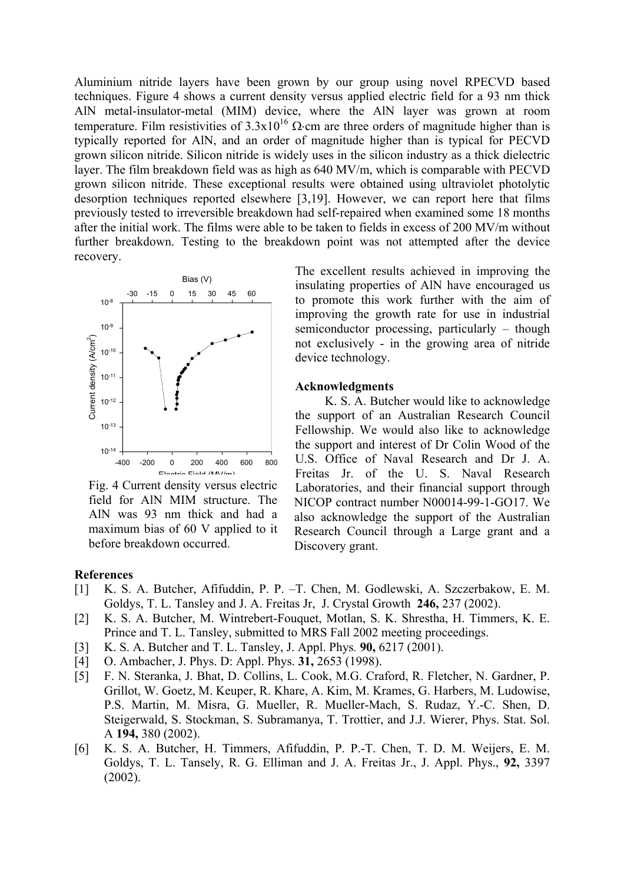Aluminium nitride layers have been grown by our group using novel RPECVD based techniques. Figure 4 shows a current density versus applied electric field for a 93 nm thick AlN metal-insulator-metal (MIM) device, where the AlN layer was grown at room temperature. Film resistivities of  $3.3x10^{16}$  Ω⋅cm are three orders of magnitude higher than is typically reported for AlN, and an order of magnitude higher than is typical for PECVD grown silicon nitride. Silicon nitride is widely uses in the silicon industry as a thick dielectric layer. The film breakdown field was as high as 640 MV/m, which is comparable with PECVD grown silicon nitride. These exceptional results were obtained using ultraviolet photolytic desorption techniques reported elsewhere [3,19]. However, we can report here that films previously tested to irreversible breakdown had self-repaired when examined some 18 months after the initial work. The films were able to be taken to fields in excess of 200 MV/m without further breakdown. Testing to the breakdown point was not attempted after the device recovery.



Fig. 4 Current density versus electric field for AlN MIM structure. The AlN was 93 nm thick and had a maximum bias of 60 V applied to it before breakdown occurred.

The excellent results achieved in improving the insulating properties of AlN have encouraged us to promote this work further with the aim of improving the growth rate for use in industrial semiconductor processing, particularly – though not exclusively - in the growing area of nitride device technology.

### **Acknowledgments**

K. S. A. Butcher would like to acknowledge the support of an Australian Research Council Fellowship. We would also like to acknowledge the support and interest of Dr Colin Wood of the U.S. Office of Naval Research and Dr J. A. Freitas Jr. of the U. S. Naval Research Laboratories, and their financial support through NICOP contract number N00014-99-1-GO17. We also acknowledge the support of the Australian Research Council through a Large grant and a Discovery grant.

#### **References**

- [1] K. S. A. Butcher, Afifuddin, P. P. –T. Chen, M. Godlewski, A. Szczerbakow, E. M. Goldys, T. L. Tansley and J. A. Freitas Jr, J. Crystal Growth **246,** 237 (2002).
- [2] K. S. A. Butcher, M. Wintrebert-Fouquet, Motlan, S. K. Shrestha, H. Timmers, K. E. Prince and T. L. Tansley, submitted to MRS Fall 2002 meeting proceedings.
- [3] K. S. A. Butcher and T. L. Tansley, J. Appl. Phys*.* **90,** 6217 (2001).
- [4] O. Ambacher, J. Phys. D: Appl. Phys. **31,** 2653 (1998).
- [5] F. N. Steranka, J. Bhat, D. Collins, L. Cook, M.G. Craford, R. Fletcher, N. Gardner, P. Grillot, W. Goetz, M. Keuper, R. Khare, A. Kim, M. Krames, G. Harbers, M. Ludowise, P.S. Martin, M. Misra, G. Mueller, R. Mueller-Mach, S. Rudaz, Y.-C. Shen, D. Steigerwald, S. Stockman, S. Subramanya, T. Trottier, and J.J. Wierer, Phys. Stat. Sol. A **194,** 380 (2002).
- [6] K. S. A. Butcher, H. Timmers, Afifuddin, P. P.-T. Chen, T. D. M. Weijers, E. M. Goldys, T. L. Tansely, R. G. Elliman and J. A. Freitas Jr., J. Appl. Phys., **92,** 3397 (2002).